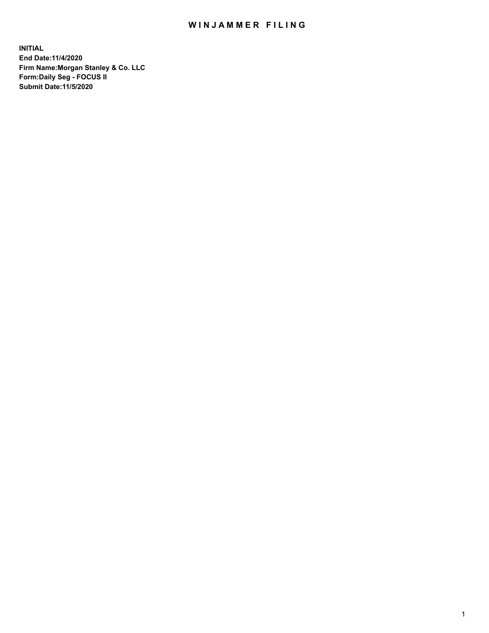## WIN JAMMER FILING

**INITIAL End Date:11/4/2020 Firm Name:Morgan Stanley & Co. LLC Form:Daily Seg - FOCUS II Submit Date:11/5/2020**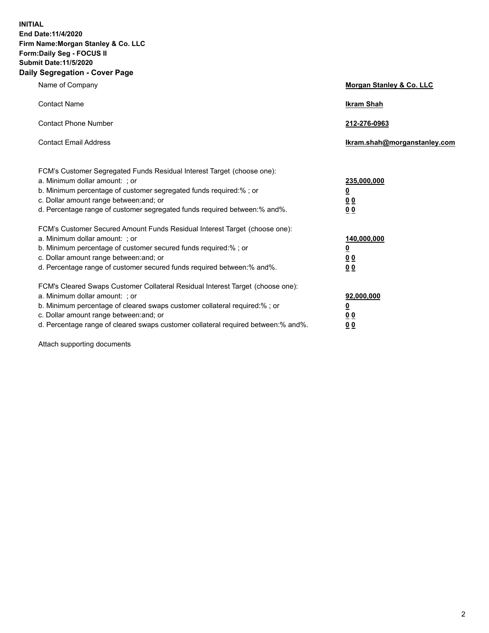**INITIAL End Date:11/4/2020 Firm Name:Morgan Stanley & Co. LLC Form:Daily Seg - FOCUS II Submit Date:11/5/2020 Daily Segregation - Cover Page**

| Name of Company                                                                                                                                                                                                                                                                                                                | <b>Morgan Stanley &amp; Co. LLC</b>                     |
|--------------------------------------------------------------------------------------------------------------------------------------------------------------------------------------------------------------------------------------------------------------------------------------------------------------------------------|---------------------------------------------------------|
| <b>Contact Name</b>                                                                                                                                                                                                                                                                                                            | <b>Ikram Shah</b>                                       |
| <b>Contact Phone Number</b>                                                                                                                                                                                                                                                                                                    | 212-276-0963                                            |
| <b>Contact Email Address</b>                                                                                                                                                                                                                                                                                                   | Ikram.shah@morganstanley.com                            |
| FCM's Customer Segregated Funds Residual Interest Target (choose one):<br>a. Minimum dollar amount: ; or<br>b. Minimum percentage of customer segregated funds required:% ; or<br>c. Dollar amount range between: and; or                                                                                                      | 235,000,000<br><u>0</u><br><u>00</u>                    |
| d. Percentage range of customer segregated funds required between:% and%.<br>FCM's Customer Secured Amount Funds Residual Interest Target (choose one):                                                                                                                                                                        | 0 <sup>0</sup>                                          |
| a. Minimum dollar amount: ; or<br>b. Minimum percentage of customer secured funds required:%; or<br>c. Dollar amount range between: and; or<br>d. Percentage range of customer secured funds required between: % and %.                                                                                                        | 140,000,000<br><u>0</u><br><u>0 0</u><br>0 <sub>0</sub> |
| FCM's Cleared Swaps Customer Collateral Residual Interest Target (choose one):<br>a. Minimum dollar amount: ; or<br>b. Minimum percentage of cleared swaps customer collateral required:% ; or<br>c. Dollar amount range between: and; or<br>d. Percentage range of cleared swaps customer collateral required between:% and%. | 92,000,000<br><u>0</u><br>0 Q<br>0 <sub>0</sub>         |

Attach supporting documents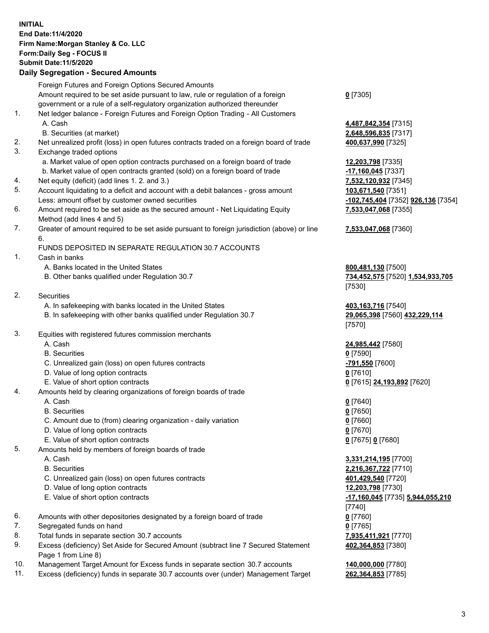## **INITIAL End Date:11/4/2020 Firm Name:Morgan Stanley & Co. LLC Form:Daily Seg - FOCUS II Submit Date:11/5/2020**

## **Daily Segregation - Secured Amounts**

Foreign Futures and Foreign Options Secured Amounts Amount required to be set aside pursuant to law, rule or regulation of a foreign government or a rule of a self-regulatory organization authorized thereunder 1. Net ledger balance - Foreign Futures and Foreign Option Trading - All Customers A. Cash **4,487,842,354** [7315] B. Securities (at market) **2,648,596,835** [7317] 2. Net unrealized profit (loss) in open futures contracts traded on a foreign board of trade **400,637,990** [7325] 3. Exchange traded options a. Market value of open option contracts purchased on a foreign board of trade **12,203,798** [7335] b. Market value of open contracts granted (sold) on a foreign board of trade **-17,160,045** [7337] 4. Net equity (deficit) (add lines 1. 2. and 3.) **7,532,120,932** [7345] 5. Account liquidating to a deficit and account with a debit balances - gross amount **103,671,540** [7351] Less: amount offset by customer owned securities **-102,745,404** [7352] **926,136** [7354] 6. Amount required to be set aside as the secured amount - Net Liquidating Equity Method (add lines 4 and 5) 7. Greater of amount required to be set aside pursuant to foreign jurisdiction (above) or line 6. FUNDS DEPOSITED IN SEPARATE REGULATION 30.7 ACCOUNTS 1. Cash in banks A. Banks located in the United States **800,481,130** [7500] B. Other banks qualified under Regulation 30.7 **734,452,575** [7520] **1,534,933,705** 2. Securities A. In safekeeping with banks located in the United States **403,163,716** [7540] B. In safekeeping with other banks qualified under Regulation 30.7 **29,065,398** [7560] **432,229,114** 3. Equities with registered futures commission merchants A. Cash **24,985,442** [7580] B. Securities **0** [7590] C. Unrealized gain (loss) on open futures contracts **-791,550** [7600] D. Value of long option contracts **0** [7610] E. Value of short option contracts **0** [7615] **24,193,892** [7620] 4. Amounts held by clearing organizations of foreign boards of trade A. Cash **0** [7640] B. Securities **0** [7650] C. Amount due to (from) clearing organization - daily variation **0** [7660] D. Value of long option contracts **0** [7670] E. Value of short option contracts **0** [7675] **0** [7680] 5. Amounts held by members of foreign boards of trade A. Cash **3,331,214,195** [7700] B. Securities **2,216,367,722** [7710] C. Unrealized gain (loss) on open futures contracts **401,429,540** [7720] D. Value of long option contracts **12,203,798** [7730] E. Value of short option contracts **-17,160,045** [7735] **5,944,055,210** 6. Amounts with other depositories designated by a foreign board of trade **0** [7760] 7. Segregated funds on hand **0** [7765] 8. Total funds in separate section 30.7 accounts **7,935,411,921** [7770]

- 9. Excess (deficiency) Set Aside for Secured Amount (subtract line 7 Secured Statement Page 1 from Line 8)
- 10. Management Target Amount for Excess funds in separate section 30.7 accounts **140,000,000** [7780]
- 11. Excess (deficiency) funds in separate 30.7 accounts over (under) Management Target **262,364,853** [7785]

**0** [7305]

**7,533,047,068** [7355]

## **7,533,047,068** [7360]

[7530]

[7570]

[7740] **402,364,853** [7380]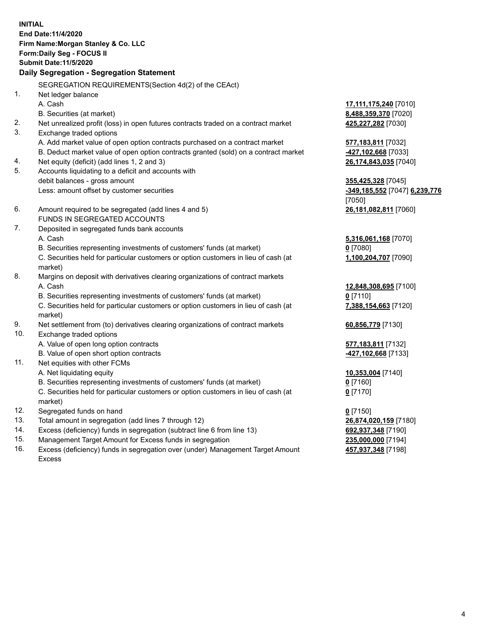**INITIAL End Date:11/4/2020 Firm Name:Morgan Stanley & Co. LLC Form:Daily Seg - FOCUS II Submit Date:11/5/2020 Daily Segregation - Segregation Statement** SEGREGATION REQUIREMENTS(Section 4d(2) of the CEAct) 1. Net ledger balance A. Cash **17,111,175,240** [7010] B. Securities (at market) **8,488,359,370** [7020] 2. Net unrealized profit (loss) in open futures contracts traded on a contract market **425,227,282** [7030] 3. Exchange traded options A. Add market value of open option contracts purchased on a contract market **577,183,811** [7032] B. Deduct market value of open option contracts granted (sold) on a contract market **-427,102,668** [7033] 4. Net equity (deficit) (add lines 1, 2 and 3) **26,174,843,035** [7040] 5. Accounts liquidating to a deficit and accounts with debit balances - gross amount **355,425,328** [7045] Less: amount offset by customer securities **-349,185,552** [7047] **6,239,776** [7050] 6. Amount required to be segregated (add lines 4 and 5) **26,181,082,811** [7060] FUNDS IN SEGREGATED ACCOUNTS 7. Deposited in segregated funds bank accounts A. Cash **5,316,061,168** [7070] B. Securities representing investments of customers' funds (at market) **0** [7080] C. Securities held for particular customers or option customers in lieu of cash (at market) **1,100,204,707** [7090] 8. Margins on deposit with derivatives clearing organizations of contract markets A. Cash **12,848,308,695** [7100] B. Securities representing investments of customers' funds (at market) **0** [7110] C. Securities held for particular customers or option customers in lieu of cash (at market) **7,388,154,663** [7120] 9. Net settlement from (to) derivatives clearing organizations of contract markets **60,856,779** [7130] 10. Exchange traded options A. Value of open long option contracts **577,183,811** [7132] B. Value of open short option contracts **-427,102,668** [7133] 11. Net equities with other FCMs A. Net liquidating equity **10,353,004** [7140] B. Securities representing investments of customers' funds (at market) **0** [7160] C. Securities held for particular customers or option customers in lieu of cash (at market) **0** [7170] 12. Segregated funds on hand **0** [7150] 13. Total amount in segregation (add lines 7 through 12) **26,874,020,159** [7180] 14. Excess (deficiency) funds in segregation (subtract line 6 from line 13) **692,937,348** [7190] 15. Management Target Amount for Excess funds in segregation **235,000,000** [7194]

16. Excess (deficiency) funds in segregation over (under) Management Target Amount Excess

**457,937,348** [7198]